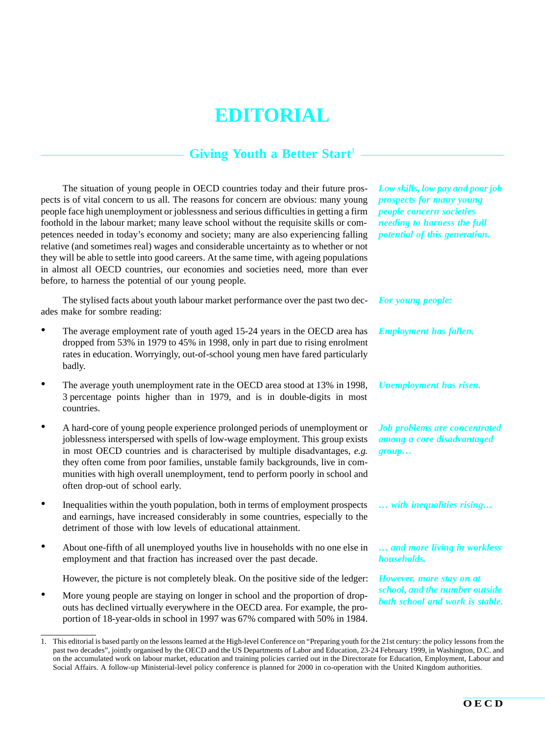# **EDITORIAL**

## **Giving Youth a Better Start**<sup>1</sup>

The situation of young people in OECD countries today and their future prospects is of vital concern to us all. The reasons for concern are obvious: many young people face high unemployment or joblessness and serious difficulties in getting a firm foothold in the labour market; many leave school without the requisite skills or competences needed in today's economy and society; many are also experiencing falling relative (and sometimes real) wages and considerable uncertainty as to whether or not they will be able to settle into good careers. At the same time, with ageing populations in almost all OECD countries, our economies and societies need, more than ever before, to harness the potential of our young people.

The stylised facts about youth labour market performance over the past two dec- *For young people:* ades make for sombre reading:

- The average employment rate of youth aged 15-24 years in the OECD area has *Employment has fallen.* dropped from 53% in 1979 to 45% in 1998, only in part due to rising enrolment rates in education. Worryingly, out-of-school young men have fared particularly badly.
- The average youth unemployment rate in the OECD area stood at 13% in 1998, *Unemployment has risen.* 3 percentage points higher than in 1979, and is in double-digits in most countries.
- A hard-core of young people experience prolonged periods of unemployment or joblessness interspersed with spells of low-wage employment. This group exists in most OECD countries and is characterised by multiple disadvantages, *e.g.* they often come from poor families, unstable family backgrounds, live in communities with high overall unemployment, tend to perform poorly in school and often drop-out of school early.
- Inequalities within the youth population, both in terms of employment prospects *… with inequalities rising…* and earnings, have increased considerably in some countries, especially to the detriment of those with low levels of educational attainment.
- About one-fifth of all unemployed youths live in households with no one else in employment and that fraction has increased over the past decade.

However, the picture is not completely bleak. On the positive side of the ledger:

More young people are staying on longer in school and the proportion of dropouts has declined virtually everywhere in the OECD area. For example, the proportion of 18-year-olds in school in 1997 was 67% compared with 50% in 1984. *Job problems are concentrated among a core disadvantaged group…*

*Low skills, low pay and poor job prospects for many young people concern societies needing to harness the full potential of this generation.*

*… and more living in workless households.*

*However, more stay on at school, and the number outside both school and work is stable.*

<sup>1.</sup> This editorial is based partly on the lessons learned at the High-level Conference on "Preparing youth for the 21st century: the policy lessons from the past two decades", jointly organised by the OECD and the US Departments of Labor and Education, 23-24 February 1999, in Washington, D.C. and on the accumulated work on labour market, education and training policies carried out in the Directorate for Education, Employment, Labour and Social Affairs. A follow-up Ministerial-level policy conference is planned for 2000 in co-operation with the United Kingdom authorities.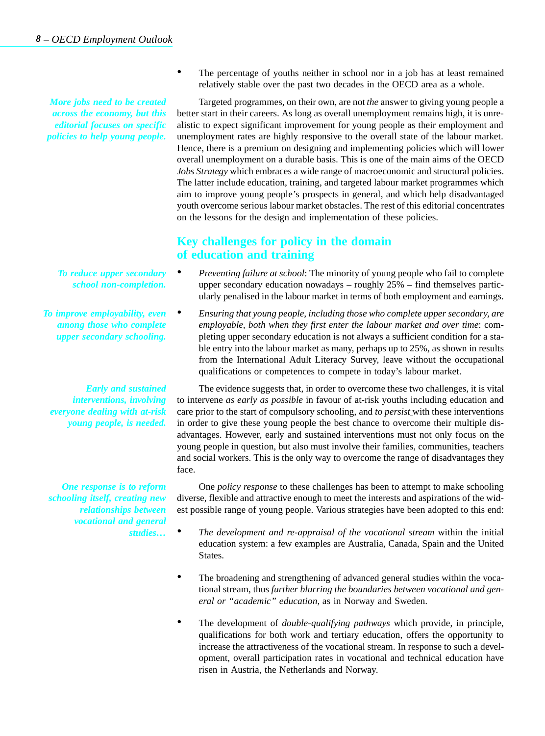*More jobs need to be created across the economy, but this editorial focuses on specific policies to help young people.*

- *To reduce upper secondary school non-completion.*
- *To improve employability, even among those who complete upper secondary schooling.*

*Early and sustained interventions, involving everyone dealing with at-risk young people, is needed.*

*One response is to reform schooling itself, creating new relationships between vocational and general studies…* • The percentage of youths neither in school nor in a job has at least remained relatively stable over the past two decades in the OECD area as a whole.

Targeted programmes, on their own, are not *the* answer to giving young people a better start in their careers. As long as overall unemployment remains high, it is unrealistic to expect significant improvement for young people as their employment and unemployment rates are highly responsive to the overall state of the labour market. Hence, there is a premium on designing and implementing policies which will lower overall unemployment on a durable basis. This is one of the main aims of the OECD *Jobs Strategy* which embraces a wide range of macroeconomic and structural policies. The latter include education, training, and targeted labour market programmes which aim to improve young people's prospects in general, and which help disadvantaged youth overcome serious labour market obstacles. The rest of this editorial concentrates on the lessons for the design and implementation of these policies.

#### **Key challenges for policy in the domain of education and training**

- *Preventing failure at school*: The minority of young people who fail to complete upper secondary education nowadays – roughly 25% – find themselves particularly penalised in the labour market in terms of both employment and earnings.
- *Ensuring that young people, including those who complete upper secondary, are employable, both when they first enter the labour market and over time*: completing upper secondary education is not always a sufficient condition for a stable entry into the labour market as many, perhaps up to 25%, as shown in results from the International Adult Literacy Survey, leave without the occupational qualifications or competences to compete in today's labour market.

The evidence suggests that, in order to overcome these two challenges, it is vital to intervene *as early as possible* in favour of at-risk youths including education and care prior to the start of compulsory schooling, and *to persist* with these interventions in order to give these young people the best chance to overcome their multiple disadvantages. However, early and sustained interventions must not only focus on the young people in question, but also must involve their families, communities, teachers and social workers. This is the only way to overcome the range of disadvantages they face.

One *policy response* to these challenges has been to attempt to make schooling diverse, flexible and attractive enough to meet the interests and aspirations of the widest possible range of young people. Various strategies have been adopted to this end:

- *The development and re-appraisal of the vocational stream* within the initial education system: a few examples are Australia, Canada, Spain and the United States.
- The broadening and strengthening of advanced general studies within the vocational stream, thus *further blurring the boundaries between vocational and general or "academic" education,* as in Norway and Sweden.
- The development of *double-qualifying pathways* which provide, in principle, qualifications for both work and tertiary education, offers the opportunity to increase the attractiveness of the vocational stream. In response to such a development, overall participation rates in vocational and technical education have risen in Austria, the Netherlands and Norway.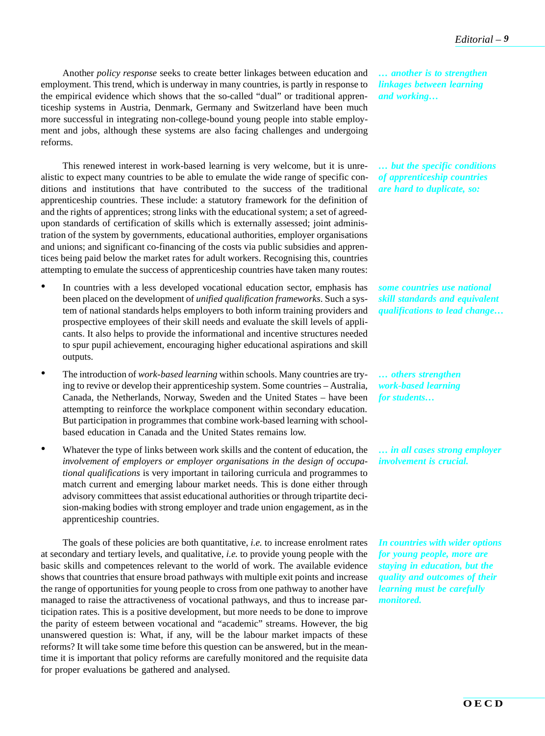Another *policy response* seeks to create better linkages between education and employment. This trend, which is underway in many countries, is partly in response to the empirical evidence which shows that the so-called "dual" or traditional apprenticeship systems in Austria, Denmark, Germany and Switzerland have been much more successful in integrating non-college-bound young people into stable employment and jobs, although these systems are also facing challenges and undergoing reforms.

This renewed interest in work-based learning is very welcome, but it is unrealistic to expect many countries to be able to emulate the wide range of specific conditions and institutions that have contributed to the success of the traditional apprenticeship countries. These include: a statutory framework for the definition of and the rights of apprentices; strong links with the educational system; a set of agreedupon standards of certification of skills which is externally assessed; joint administration of the system by governments, educational authorities, employer organisations and unions; and significant co-financing of the costs via public subsidies and apprentices being paid below the market rates for adult workers. Recognising this, countries attempting to emulate the success of apprenticeship countries have taken many routes:

- In countries with a less developed vocational education sector, emphasis has been placed on the development of *unified qualification frameworks*. Such a system of national standards helps employers to both inform training providers and prospective employees of their skill needs and evaluate the skill levels of applicants. It also helps to provide the informational and incentive structures needed to spur pupil achievement, encouraging higher educational aspirations and skill outputs.
- The introduction of *work-based learning* within schools. Many countries are trying to revive or develop their apprenticeship system. Some countries – Australia, Canada, the Netherlands, Norway, Sweden and the United States – have been attempting to reinforce the workplace component within secondary education. But participation in programmes that combine work-based learning with schoolbased education in Canada and the United States remains low.
- Whatever the type of links between work skills and the content of education, the *involvement of employers or employer organisations in the design of occupational qualifications* is very important in tailoring curricula and programmes to match current and emerging labour market needs. This is done either through advisory committees that assist educational authorities or through tripartite decision-making bodies with strong employer and trade union engagement, as in the apprenticeship countries.

The goals of these policies are both quantitative, *i.e.* to increase enrolment rates at secondary and tertiary levels, and qualitative, *i.e.* to provide young people with the basic skills and competences relevant to the world of work. The available evidence shows that countries that ensure broad pathways with multiple exit points and increase the range of opportunities for young people to cross from one pathway to another have managed to raise the attractiveness of vocational pathways, and thus to increase participation rates. This is a positive development, but more needs to be done to improve the parity of esteem between vocational and "academic" streams. However, the big unanswered question is: What, if any, will be the labour market impacts of these reforms? It will take some time before this question can be answered, but in the meantime it is important that policy reforms are carefully monitored and the requisite data for proper evaluations be gathered and analysed.

*… another is to strengthen linkages between learning and working…*

*… but the specific conditions of apprenticeship countries are hard to duplicate, so:*

*some countries use national skill standards and equivalent qualifications to lead change…*

*… others strengthen work-based learning for students…*

*… in all cases strong employer involvement is crucial.*

*In countries with wider options for young people, more are staying in education, but the quality and outcomes of their learning must be carefully monitored.*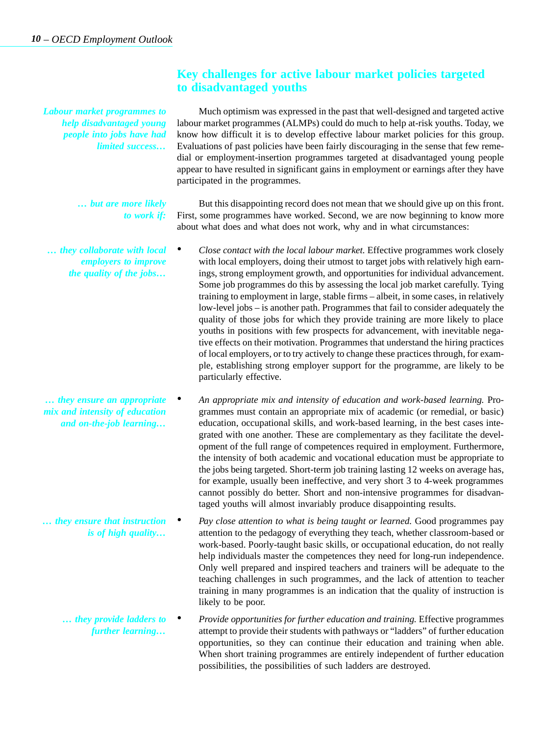*Labour market programmes to help disadvantaged young people into jobs have had limited success…*

> *… but are more likely to work if:*

*… they collaborate with local employers to improve the quality of the jobs…*

*… they ensure an appropriate mix and intensity of education and on-the-job learning…*

tive effects on their motivation. Programmes that understand the hiring practices of local employers, or to try actively to change these practices through, for example, establishing strong employer support for the programme, are likely to be particularly effective. • *An appropriate mix and intensity of education and work-based learning.* Programmes must contain an appropriate mix of academic (or remedial, or basic)

education, occupational skills, and work-based learning, in the best cases integrated with one another. These are complementary as they facilitate the development of the full range of competences required in employment. Furthermore, the intensity of both academic and vocational education must be appropriate to the jobs being targeted. Short-term job training lasting 12 weeks on average has, for example, usually been ineffective, and very short 3 to 4-week programmes cannot possibly do better. Short and non-intensive programmes for disadvantaged youths will almost invariably produce disappointing results.

*… they ensure that instruction is of high quality…* • *Pay close attention to what is being taught or learned.* Good programmes pay attention to the pedagogy of everything they teach, whether classroom-based or work-based. Poorly-taught basic skills, or occupational education, do not really help individuals master the competences they need for long-run independence. Only well prepared and inspired teachers and trainers will be adequate to the teaching challenges in such programmes, and the lack of attention to teacher training in many programmes is an indication that the quality of instruction is likely to be poor.

*… they provide ladders to further learning…* • *Provide opportunities for further education and training.* Effective programmes attempt to provide their students with pathways or "ladders" of further education opportunities, so they can continue their education and training when able. When short training programmes are entirely independent of further education possibilities, the possibilities of such ladders are destroyed.

### **Key challenges for active labour market policies targeted to disadvantaged youths**

Much optimism was expressed in the past that well-designed and targeted active labour market programmes (ALMPs) could do much to help at-risk youths. Today, we know how difficult it is to develop effective labour market policies for this group. Evaluations of past policies have been fairly discouraging in the sense that few remedial or employment-insertion programmes targeted at disadvantaged young people appear to have resulted in significant gains in employment or earnings after they have participated in the programmes.

But this disappointing record does not mean that we should give up on this front. First, some programmes have worked. Second, we are now beginning to know more about what does and what does not work, why and in what circumstances:

• *Close contact with the local labour market.* Effective programmes work closely with local employers, doing their utmost to target jobs with relatively high earnings, strong employment growth, and opportunities for individual advancement. Some job programmes do this by assessing the local job market carefully. Tying training to employment in large, stable firms – albeit, in some cases, in relatively low-level jobs – is another path. Programmes that fail to consider adequately the quality of those jobs for which they provide training are more likely to place youths in positions with few prospects for advancement, with inevitable nega-